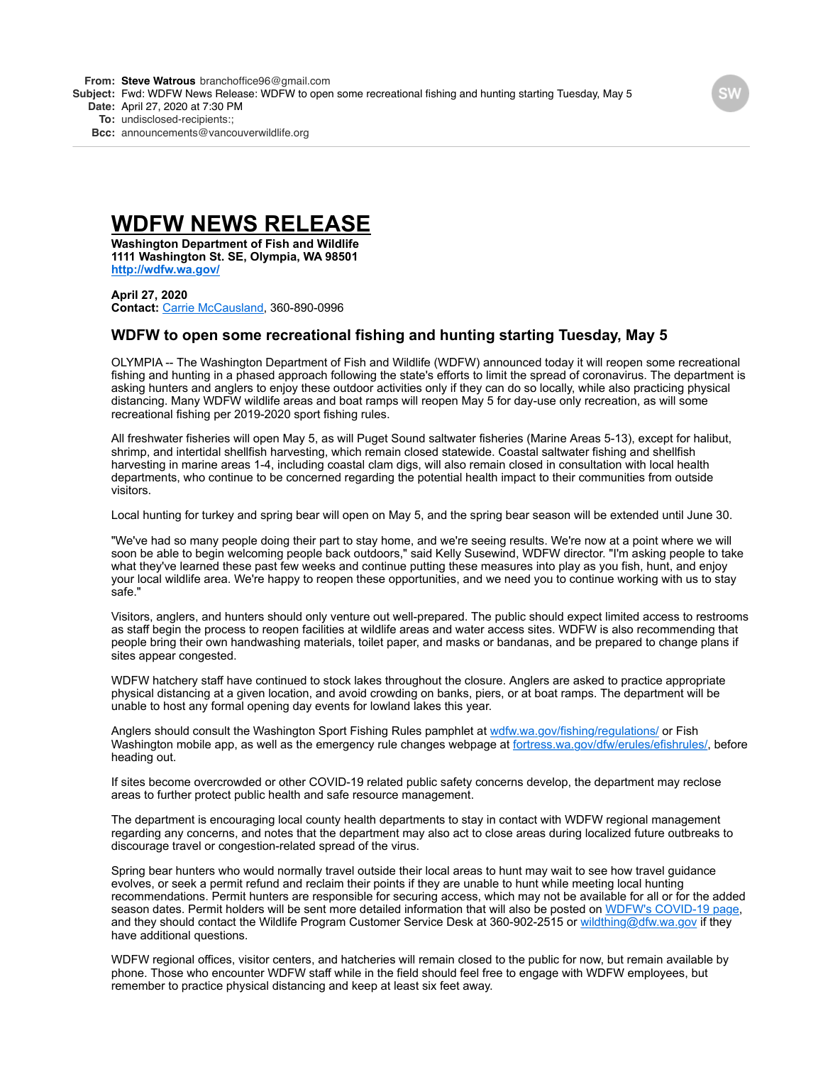**From: Steve [Watrous](mailto:Watrousbranchoffice96@gmail.com)** [branchoffice96@gmail.com](mailto:Watrousbranchoffice96@gmail.com)

**Subject:** Fwd: WDFW News Release: WDFW to open some recreational fishing and hunting starting Tuesday, May 5

**Date:** April 27, 2020 at 7:30 PM

**To:** undisclosed-recipients:;

**Bcc:** [announcements@vancouverwildlife.org](mailto:announcements@vancouverwildlife.org)

# **WDFW NEWS RELEASE**

**Washington Department of Fish and Wildlife 1111 Washington St. SE, Olympia, WA 98501 <http://wdfw.wa.gov/>**

**April 27, 2020 Contact:** [Carrie McCausland](mailto:carrie.mccausland@dfw.wa.gov), 360-890-0996

# **WDFW to open some recreational fishing and hunting starting Tuesday, May 5**

OLYMPIA -- The Washington Department of Fish and Wildlife (WDFW) announced today it will reopen some recreational fishing and hunting in a phased approach following the state's efforts to limit the spread of coronavirus. The department is asking hunters and anglers to enjoy these outdoor activities only if they can do so locally, while also practicing physical distancing. Many WDFW wildlife areas and boat ramps will reopen May 5 for day-use only recreation, as will some recreational fishing per 2019-2020 sport fishing rules.

All freshwater fisheries will open May 5, as will Puget Sound saltwater fisheries (Marine Areas 5-13), except for halibut, shrimp, and intertidal shellfish harvesting, which remain closed statewide. Coastal saltwater fishing and shellfish harvesting in marine areas 1-4, including coastal clam digs, will also remain closed in consultation with local health departments, who continue to be concerned regarding the potential health impact to their communities from outside visitors.

Local hunting for turkey and spring bear will open on May 5, and the spring bear season will be extended until June 30.

"We've had so many people doing their part to stay home, and we're seeing results. We're now at a point where we will soon be able to begin welcoming people back outdoors," said Kelly Susewind, WDFW director. "I'm asking people to take what they've learned these past few weeks and continue putting these measures into play as you fish, hunt, and enjoy your local wildlife area. We're happy to reopen these opportunities, and we need you to continue working with us to stay safe."

Visitors, anglers, and hunters should only venture out well-prepared. The public should expect limited access to restrooms as staff begin the process to reopen facilities at wildlife areas and water access sites. WDFW is also recommending that people bring their own handwashing materials, toilet paper, and masks or bandanas, and be prepared to change plans if sites appear congested.

WDFW hatchery staff have continued to stock lakes throughout the closure. Anglers are asked to practice appropriate physical distancing at a given location, and avoid crowding on banks, piers, or at boat ramps. The department will be unable to host any formal opening day events for lowland lakes this year.

Anglers should consult the Washington Sport Fishing Rules pamphlet at [wdfw.wa.gov/fishing/regulations/](https://wdfw.wa.gov/fishing/regulations/app) or Fish Washington mobile app, as well as the emergency rule changes webpage at [fortress.wa.gov/dfw/erules/efishrules/,](https://fortress.wa.gov/dfw/erules/efishrules/) before heading out.

If sites become overcrowded or other COVID-19 related public safety concerns develop, the department may reclose areas to further protect public health and safe resource management.

The department is encouraging local county health departments to stay in contact with WDFW regional management regarding any concerns, and notes that the department may also act to close areas during localized future outbreaks to discourage travel or congestion-related spread of the virus.

Spring bear hunters who would normally travel outside their local areas to hunt may wait to see how travel guidance evolves, or seek a permit refund and reclaim their points if they are unable to hunt while meeting local hunting recommendations. Permit hunters are responsible for securing access, which may not be available for all or for the added season dates. Permit holders will be sent more detailed information that will also be posted on [WDFW's COVID-19 page](http://wdfw.wa.gov/about/covid-19-updates), and they should contact the Wildlife Program Customer Service Desk at 360-902-2515 or [wildthing@dfw.wa.gov](mailto:wildthing@dfw.wa.gov) if they have additional questions.

WDFW regional offices, visitor centers, and hatcheries will remain closed to the public for now, but remain available by phone. Those who encounter WDFW staff while in the field should feel free to engage with WDFW employees, but remember to practice physical distancing and keep at least six feet away.